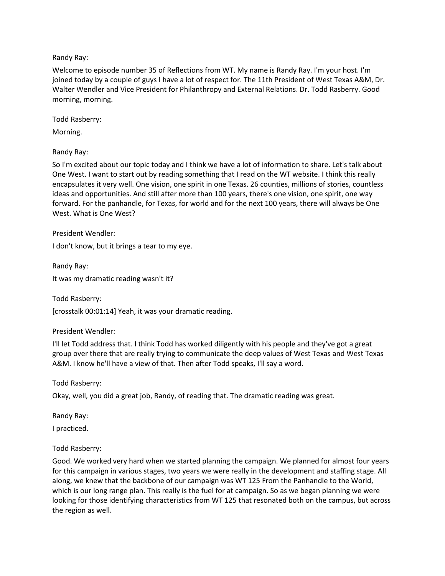## Randy Ray:

Welcome to episode number 35 of Reflections from WT. My name is Randy Ray. I'm your host. I'm joined today by a couple of guys I have a lot of respect for. The 11th President of West Texas A&M, Dr. Walter Wendler and Vice President for Philanthropy and External Relations. Dr. Todd Rasberry. Good morning, morning.

Todd Rasberry:

Morning.

Randy Ray:

So I'm excited about our topic today and I think we have a lot of information to share. Let's talk about One West. I want to start out by reading something that I read on the WT website. I think this really encapsulates it very well. One vision, one spirit in one Texas. 26 counties, millions of stories, countless ideas and opportunities. And still after more than 100 years, there's one vision, one spirit, one way forward. For the panhandle, for Texas, for world and for the next 100 years, there will always be One West. What is One West?

President Wendler:

I don't know, but it brings a tear to my eye.

Randy Ray: It was my dramatic reading wasn't it?

Todd Rasberry:

[crosstalk 00:01:14] Yeah, it was your dramatic reading.

President Wendler:

I'll let Todd address that. I think Todd has worked diligently with his people and they've got a great group over there that are really trying to communicate the deep values of West Texas and West Texas A&M. I know he'll have a view of that. Then after Todd speaks, I'll say a word.

Todd Rasberry:

Okay, well, you did a great job, Randy, of reading that. The dramatic reading was great.

Randy Ray:

I practiced.

### Todd Rasberry:

Good. We worked very hard when we started planning the campaign. We planned for almost four years for this campaign in various stages, two years we were really in the development and staffing stage. All along, we knew that the backbone of our campaign was WT 125 From the Panhandle to the World, which is our long range plan. This really is the fuel for at campaign. So as we began planning we were looking for those identifying characteristics from WT 125 that resonated both on the campus, but across the region as well.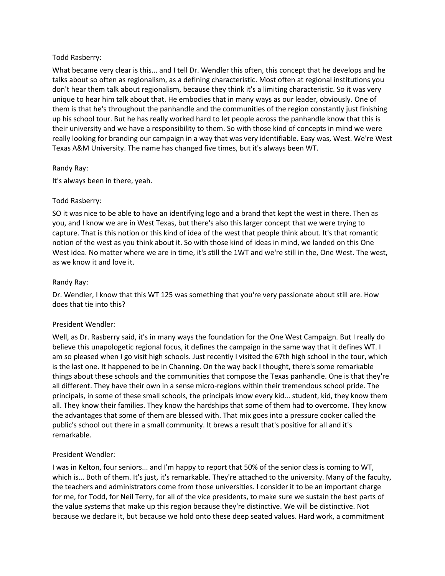### Todd Rasberry:

What became very clear is this... and I tell Dr. Wendler this often, this concept that he develops and he talks about so often as regionalism, as a defining characteristic. Most often at regional institutions you don't hear them talk about regionalism, because they think it's a limiting characteristic. So it was very unique to hear him talk about that. He embodies that in many ways as our leader, obviously. One of them is that he's throughout the panhandle and the communities of the region constantly just finishing up his school tour. But he has really worked hard to let people across the panhandle know that this is their university and we have a responsibility to them. So with those kind of concepts in mind we were really looking for branding our campaign in a way that was very identifiable. Easy was, West. We're West Texas A&M University. The name has changed five times, but it's always been WT.

## Randy Ray:

It's always been in there, yeah.

## Todd Rasberry:

SO it was nice to be able to have an identifying logo and a brand that kept the west in there. Then as you, and I know we are in West Texas, but there's also this larger concept that we were trying to capture. That is this notion or this kind of idea of the west that people think about. It's that romantic notion of the west as you think about it. So with those kind of ideas in mind, we landed on this One West idea. No matter where we are in time, it's still the 1WT and we're still in the, One West. The west, as we know it and love it.

## Randy Ray:

Dr. Wendler, I know that this WT 125 was something that you're very passionate about still are. How does that tie into this?

### President Wendler:

Well, as Dr. Rasberry said, it's in many ways the foundation for the One West Campaign. But I really do believe this unapologetic regional focus, it defines the campaign in the same way that it defines WT. I am so pleased when I go visit high schools. Just recently I visited the 67th high school in the tour, which is the last one. It happened to be in Channing. On the way back I thought, there's some remarkable things about these schools and the communities that compose the Texas panhandle. One is that they're all different. They have their own in a sense micro-regions within their tremendous school pride. The principals, in some of these small schools, the principals know every kid... student, kid, they know them all. They know their families. They know the hardships that some of them had to overcome. They know the advantages that some of them are blessed with. That mix goes into a pressure cooker called the public's school out there in a small community. It brews a result that's positive for all and it's remarkable.

### President Wendler:

I was in Kelton, four seniors... and I'm happy to report that 50% of the senior class is coming to WT, which is... Both of them. It's just, it's remarkable. They're attached to the university. Many of the faculty, the teachers and administrators come from those universities. I consider it to be an important charge for me, for Todd, for Neil Terry, for all of the vice presidents, to make sure we sustain the best parts of the value systems that make up this region because they're distinctive. We will be distinctive. Not because we declare it, but because we hold onto these deep seated values. Hard work, a commitment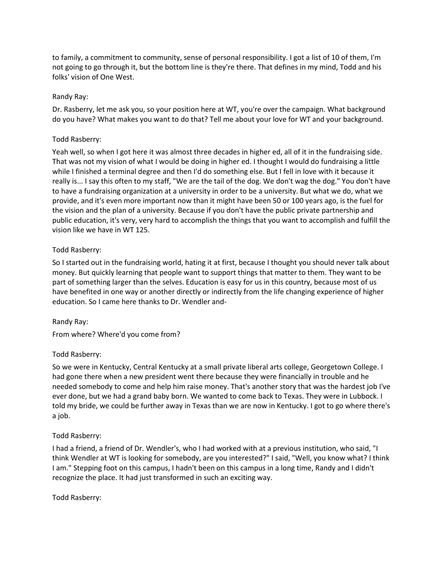to family, a commitment to community, sense of personal responsibility. I got a list of 10 of them, I'm not going to go through it, but the bottom line is they're there. That defines in my mind, Todd and his folks' vision of One West.

## Randy Ray:

Dr. Rasberry, let me ask you, so your position here at WT, you're over the campaign. What background do you have? What makes you want to do that? Tell me about your love for WT and your background.

### Todd Rasberry:

Yeah well, so when I got here it was almost three decades in higher ed, all of it in the fundraising side. That was not my vision of what I would be doing in higher ed. I thought I would do fundraising a little while I finished a terminal degree and then I'd do something else. But I fell in love with it because it really is... I say this often to my staff, "We are the tail of the dog. We don't wag the dog." You don't have to have a fundraising organization at a university in order to be a university. But what we do, what we provide, and it's even more important now than it might have been 50 or 100 years ago, is the fuel for the vision and the plan of a university. Because if you don't have the public private partnership and public education, it's very, very hard to accomplish the things that you want to accomplish and fulfill the vision like we have in WT 125.

## Todd Rasberry:

So I started out in the fundraising world, hating it at first, because I thought you should never talk about money. But quickly learning that people want to support things that matter to them. They want to be part of something larger than the selves. Education is easy for us in this country, because most of us have benefited in one way or another directly or indirectly from the life changing experience of higher education. So I came here thanks to Dr. Wendler and-

### Randy Ray:

From where? Where'd you come from?

### Todd Rasberry:

So we were in Kentucky, Central Kentucky at a small private liberal arts college, Georgetown College. I had gone there when a new president went there because they were financially in trouble and he needed somebody to come and help him raise money. That's another story that was the hardest job I've ever done, but we had a grand baby born. We wanted to come back to Texas. They were in Lubbock. I told my bride, we could be further away in Texas than we are now in Kentucky. I got to go where there's a job.

### Todd Rasberry:

I had a friend, a friend of Dr. Wendler's, who I had worked with at a previous institution, who said, "I think Wendler at WT is looking for somebody, are you interested?" I said, "Well, you know what? I think I am." Stepping foot on this campus, I hadn't been on this campus in a long time, Randy and I didn't recognize the place. It had just transformed in such an exciting way.

Todd Rasberry: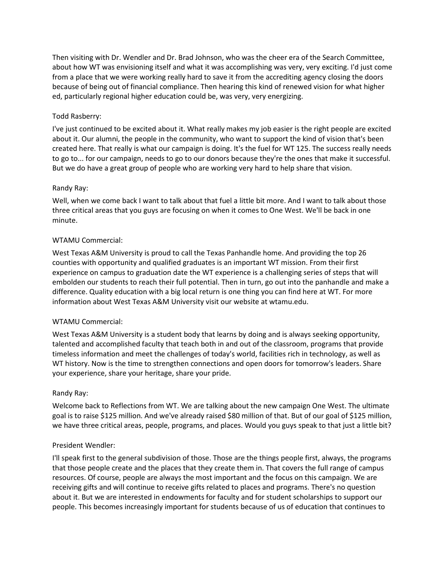Then visiting with Dr. Wendler and Dr. Brad Johnson, who was the cheer era of the Search Committee, about how WT was envisioning itself and what it was accomplishing was very, very exciting. I'd just come from a place that we were working really hard to save it from the accrediting agency closing the doors because of being out of financial compliance. Then hearing this kind of renewed vision for what higher ed, particularly regional higher education could be, was very, very energizing.

## Todd Rasberry:

I've just continued to be excited about it. What really makes my job easier is the right people are excited about it. Our alumni, the people in the community, who want to support the kind of vision that's been created here. That really is what our campaign is doing. It's the fuel for WT 125. The success really needs to go to... for our campaign, needs to go to our donors because they're the ones that make it successful. But we do have a great group of people who are working very hard to help share that vision.

## Randy Ray:

Well, when we come back I want to talk about that fuel a little bit more. And I want to talk about those three critical areas that you guys are focusing on when it comes to One West. We'll be back in one minute.

## WTAMU Commercial:

West Texas A&M University is proud to call the Texas Panhandle home. And providing the top 26 counties with opportunity and qualified graduates is an important WT mission. From their first experience on campus to graduation date the WT experience is a challenging series of steps that will embolden our students to reach their full potential. Then in turn, go out into the panhandle and make a difference. Quality education with a big local return is one thing you can find here at WT. For more information about West Texas A&M University visit our website at wtamu.edu.

### WTAMU Commercial:

West Texas A&M University is a student body that learns by doing and is always seeking opportunity, talented and accomplished faculty that teach both in and out of the classroom, programs that provide timeless information and meet the challenges of today's world, facilities rich in technology, as well as WT history. Now is the time to strengthen connections and open doors for tomorrow's leaders. Share your experience, share your heritage, share your pride.

### Randy Ray:

Welcome back to Reflections from WT. We are talking about the new campaign One West. The ultimate goal is to raise \$125 million. And we've already raised \$80 million of that. But of our goal of \$125 million, we have three critical areas, people, programs, and places. Would you guys speak to that just a little bit?

### President Wendler:

I'll speak first to the general subdivision of those. Those are the things people first, always, the programs that those people create and the places that they create them in. That covers the full range of campus resources. Of course, people are always the most important and the focus on this campaign. We are receiving gifts and will continue to receive gifts related to places and programs. There's no question about it. But we are interested in endowments for faculty and for student scholarships to support our people. This becomes increasingly important for students because of us of education that continues to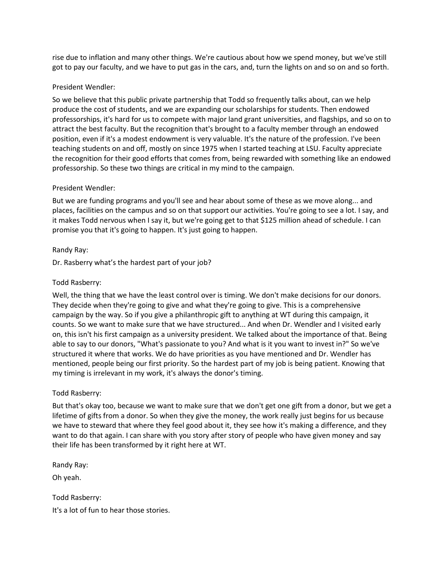rise due to inflation and many other things. We're cautious about how we spend money, but we've still got to pay our faculty, and we have to put gas in the cars, and, turn the lights on and so on and so forth.

### President Wendler:

So we believe that this public private partnership that Todd so frequently talks about, can we help produce the cost of students, and we are expanding our scholarships for students. Then endowed professorships, it's hard for us to compete with major land grant universities, and flagships, and so on to attract the best faculty. But the recognition that's brought to a faculty member through an endowed position, even if it's a modest endowment is very valuable. It's the nature of the profession. I've been teaching students on and off, mostly on since 1975 when I started teaching at LSU. Faculty appreciate the recognition for their good efforts that comes from, being rewarded with something like an endowed professorship. So these two things are critical in my mind to the campaign.

### President Wendler:

But we are funding programs and you'll see and hear about some of these as we move along... and places, facilities on the campus and so on that support our activities. You're going to see a lot. I say, and it makes Todd nervous when I say it, but we're going get to that \$125 million ahead of schedule. I can promise you that it's going to happen. It's just going to happen.

## Randy Ray:

Dr. Rasberry what's the hardest part of your job?

## Todd Rasberry:

Well, the thing that we have the least control over is timing. We don't make decisions for our donors. They decide when they're going to give and what they're going to give. This is a comprehensive campaign by the way. So if you give a philanthropic gift to anything at WT during this campaign, it counts. So we want to make sure that we have structured... And when Dr. Wendler and I visited early on, this isn't his first campaign as a university president. We talked about the importance of that. Being able to say to our donors, "What's passionate to you? And what is it you want to invest in?" So we've structured it where that works. We do have priorities as you have mentioned and Dr. Wendler has mentioned, people being our first priority. So the hardest part of my job is being patient. Knowing that my timing is irrelevant in my work, it's always the donor's timing.

# Todd Rasberry:

But that's okay too, because we want to make sure that we don't get one gift from a donor, but we get a lifetime of gifts from a donor. So when they give the money, the work really just begins for us because we have to steward that where they feel good about it, they see how it's making a difference, and they want to do that again. I can share with you story after story of people who have given money and say their life has been transformed by it right here at WT.

Randy Ray:

Oh yeah.

Todd Rasberry: It's a lot of fun to hear those stories.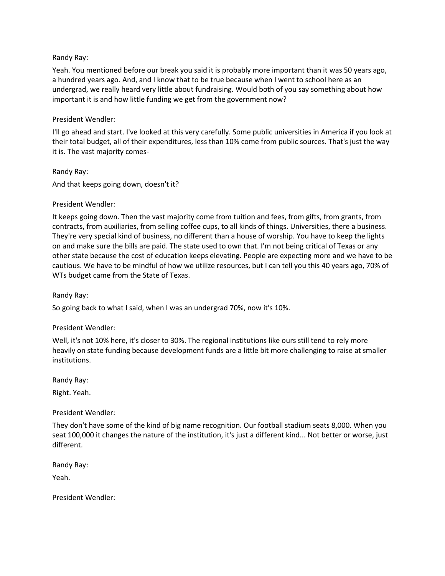#### Randy Ray:

Yeah. You mentioned before our break you said it is probably more important than it was 50 years ago, a hundred years ago. And, and I know that to be true because when I went to school here as an undergrad, we really heard very little about fundraising. Would both of you say something about how important it is and how little funding we get from the government now?

#### President Wendler:

I'll go ahead and start. I've looked at this very carefully. Some public universities in America if you look at their total budget, all of their expenditures, less than 10% come from public sources. That's just the way it is. The vast majority comes-

Randy Ray: And that keeps going down, doesn't it?

### President Wendler:

It keeps going down. Then the vast majority come from tuition and fees, from gifts, from grants, from contracts, from auxiliaries, from selling coffee cups, to all kinds of things. Universities, there a business. They're very special kind of business, no different than a house of worship. You have to keep the lights on and make sure the bills are paid. The state used to own that. I'm not being critical of Texas or any other state because the cost of education keeps elevating. People are expecting more and we have to be cautious. We have to be mindful of how we utilize resources, but I can tell you this 40 years ago, 70% of WTs budget came from the State of Texas.

Randy Ray:

So going back to what I said, when I was an undergrad 70%, now it's 10%.

### President Wendler:

Well, it's not 10% here, it's closer to 30%. The regional institutions like ours still tend to rely more heavily on state funding because development funds are a little bit more challenging to raise at smaller institutions.

Randy Ray:

Right. Yeah.

### President Wendler:

They don't have some of the kind of big name recognition. Our football stadium seats 8,000. When you seat 100,000 it changes the nature of the institution, it's just a different kind... Not better or worse, just different.

Randy Ray:

Yeah.

President Wendler: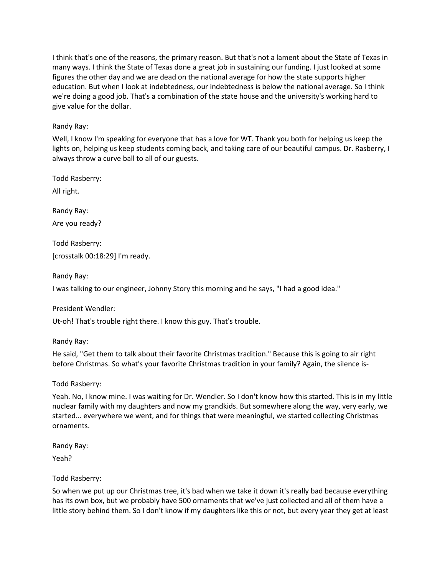I think that's one of the reasons, the primary reason. But that's not a lament about the State of Texas in many ways. I think the State of Texas done a great job in sustaining our funding. I just looked at some figures the other day and we are dead on the national average for how the state supports higher education. But when I look at indebtedness, our indebtedness is below the national average. So I think we're doing a good job. That's a combination of the state house and the university's working hard to give value for the dollar.

## Randy Ray:

Well, I know I'm speaking for everyone that has a love for WT. Thank you both for helping us keep the lights on, helping us keep students coming back, and taking care of our beautiful campus. Dr. Rasberry, I always throw a curve ball to all of our guests.

Todd Rasberry:

All right.

Randy Ray:

Are you ready?

Todd Rasberry: [crosstalk 00:18:29] I'm ready.

Randy Ray:

I was talking to our engineer, Johnny Story this morning and he says, "I had a good idea."

President Wendler:

Ut-oh! That's trouble right there. I know this guy. That's trouble.

Randy Ray:

He said, "Get them to talk about their favorite Christmas tradition." Because this is going to air right before Christmas. So what's your favorite Christmas tradition in your family? Again, the silence is-

### Todd Rasberry:

Yeah. No, I know mine. I was waiting for Dr. Wendler. So I don't know how this started. This is in my little nuclear family with my daughters and now my grandkids. But somewhere along the way, very early, we started... everywhere we went, and for things that were meaningful, we started collecting Christmas ornaments.

Randy Ray: Yeah?

### Todd Rasberry:

So when we put up our Christmas tree, it's bad when we take it down it's really bad because everything has its own box, but we probably have 500 ornaments that we've just collected and all of them have a little story behind them. So I don't know if my daughters like this or not, but every year they get at least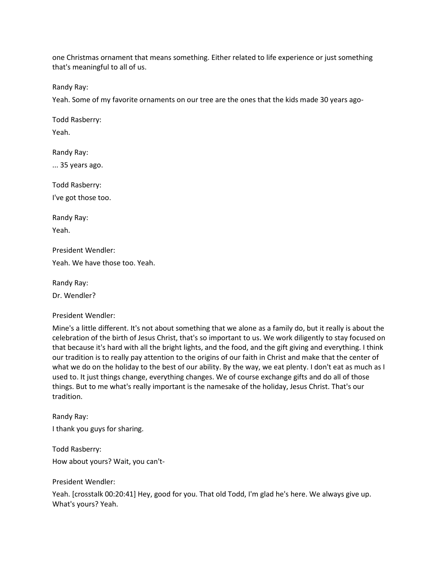one Christmas ornament that means something. Either related to life experience or just something that's meaningful to all of us.

Randy Ray:

Yeah. Some of my favorite ornaments on our tree are the ones that the kids made 30 years ago-

Todd Rasberry: Yeah.

Randy Ray: ... 35 years ago.

Todd Rasberry: I've got those too.

Randy Ray: Yeah.

President Wendler:

Yeah. We have those too. Yeah.

Randy Ray: Dr. Wendler?

President Wendler:

Mine's a little different. It's not about something that we alone as a family do, but it really is about the celebration of the birth of Jesus Christ, that's so important to us. We work diligently to stay focused on that because it's hard with all the bright lights, and the food, and the gift giving and everything. I think our tradition is to really pay attention to the origins of our faith in Christ and make that the center of what we do on the holiday to the best of our ability. By the way, we eat plenty. I don't eat as much as I used to. It just things change, everything changes. We of course exchange gifts and do all of those things. But to me what's really important is the namesake of the holiday, Jesus Christ. That's our tradition.

Randy Ray: I thank you guys for sharing.

Todd Rasberry: How about yours? Wait, you can't-

President Wendler:

Yeah. [crosstalk 00:20:41] Hey, good for you. That old Todd, I'm glad he's here. We always give up. What's yours? Yeah.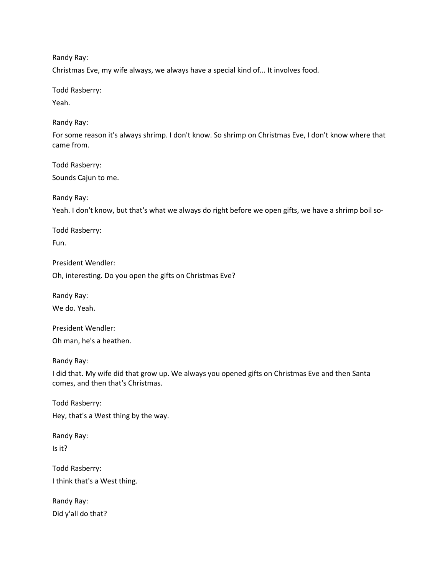Randy Ray:

Christmas Eve, my wife always, we always have a special kind of... It involves food.

Todd Rasberry:

Yeah.

Randy Ray:

For some reason it's always shrimp. I don't know. So shrimp on Christmas Eve, I don't know where that came from.

Todd Rasberry: Sounds Cajun to me.

Randy Ray:

Yeah. I don't know, but that's what we always do right before we open gifts, we have a shrimp boil so-

Todd Rasberry: Fun.

President Wendler:

Oh, interesting. Do you open the gifts on Christmas Eve?

Randy Ray:

We do. Yeah.

President Wendler: Oh man, he's a heathen.

Randy Ray:

I did that. My wife did that grow up. We always you opened gifts on Christmas Eve and then Santa comes, and then that's Christmas.

Todd Rasberry: Hey, that's a West thing by the way.

Randy Ray: Is it?

Todd Rasberry: I think that's a West thing.

Randy Ray: Did y'all do that?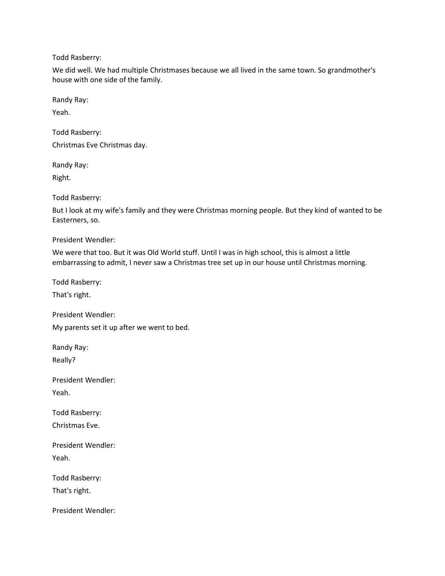Todd Rasberry:

We did well. We had multiple Christmases because we all lived in the same town. So grandmother's house with one side of the family.

Randy Ray:

Yeah.

Todd Rasberry:

Christmas Eve Christmas day.

Randy Ray:

Right.

Todd Rasberry:

But I look at my wife's family and they were Christmas morning people. But they kind of wanted to be Easterners, so.

President Wendler:

We were that too. But it was Old World stuff. Until I was in high school, this is almost a little embarrassing to admit, I never saw a Christmas tree set up in our house until Christmas morning.

Todd Rasberry:

That's right.

President Wendler:

My parents set it up after we went to bed.

Randy Ray: Really?

President Wendler: Yeah.

Todd Rasberry: Christmas Eve.

President Wendler: Yeah.

Todd Rasberry: That's right.

President Wendler: